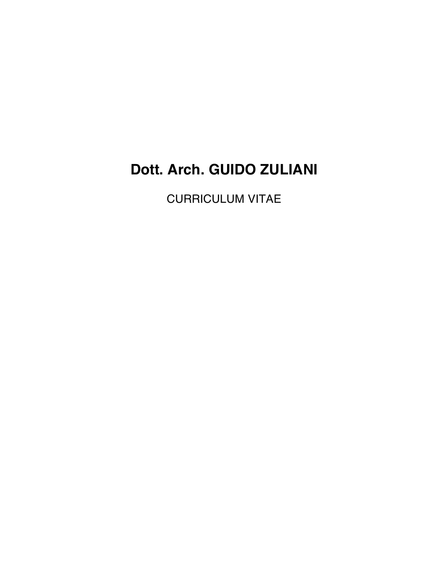# **Dott. Arch. GUIDO ZULIANI**

CURRICULUM VITAE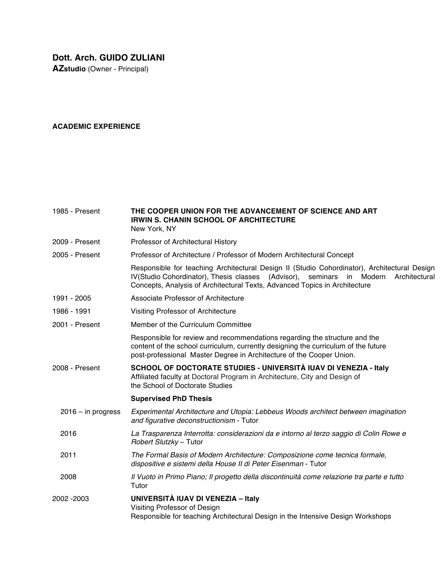**AZstudio** (Owner - Principal)

## **ACADEMIC EXPERIENCE**

| 1985 - Present       | THE COOPER UNION FOR THE ADVANCEMENT OF SCIENCE AND ART<br><b>IRWIN S. CHANIN SCHOOL OF ARCHITECTURE</b><br>New York, NY                                                                                                                                             |
|----------------------|----------------------------------------------------------------------------------------------------------------------------------------------------------------------------------------------------------------------------------------------------------------------|
| 2009 - Present       | Professor of Architectural History                                                                                                                                                                                                                                   |
| 2005 - Present       | Professor of Architecture / Professor of Modern Architectural Concept                                                                                                                                                                                                |
|                      | Responsible for teaching Architectural Design II (Studio Cohordinator), Architectural Design<br>IV(Studio Cohordinator), Thesis classes (Advisor), seminars<br>in Modern Architectural<br>Concepts, Analysis of Architectural Texts, Advanced Topics in Architecture |
| 1991 - 2005          | Associate Professor of Architecture                                                                                                                                                                                                                                  |
| 1986 - 1991          | Visiting Professor of Architecture                                                                                                                                                                                                                                   |
| 2001 - Present       | Member of the Curriculum Committee                                                                                                                                                                                                                                   |
|                      | Responsible for review and recommendations regarding the structure and the<br>content of the school curriculum, currently designing the curriculum of the future<br>post-professional Master Degree in Architecture of the Cooper Union.                             |
| 2008 - Present       | SCHOOL OF DOCTORATE STUDIES - UNIVERSITÀ IUAV DI VENEZIA - Italy<br>Affiliated faculty at Doctoral Program in Architecture, City and Design of<br>the School of Doctorate Studies                                                                                    |
|                      | <b>Supervised PhD Thesis</b>                                                                                                                                                                                                                                         |
| $2016 - in progress$ | Experimental Architecture and Utopia: Lebbeus Woods architect between imagination<br>and figurative deconstructionism - Tutor                                                                                                                                        |
| 2016                 | La Trasparenza Interrotta: considerazioni da e intorno al terzo saggio di Colin Rowe e<br>Robert Slutzky - Tutor                                                                                                                                                     |
| 2011                 | The Formal Basis of Modern Architecture: Composizione come tecnica formale,<br>dispositive e sistemi della House II di Peter Eisenman - Tutor                                                                                                                        |
| 2008                 | Il Vuoto in Primo Piano; Il progetto della discontinuità come relazione tra parte e tutto<br>Tutor                                                                                                                                                                   |
| 2002 - 2003          | UNIVERSITÀ IUAV DI VENEZIA - Italy<br>Visiting Professor of Design<br>Responsible for teaching Architectural Design in the Intensive Design Workshops                                                                                                                |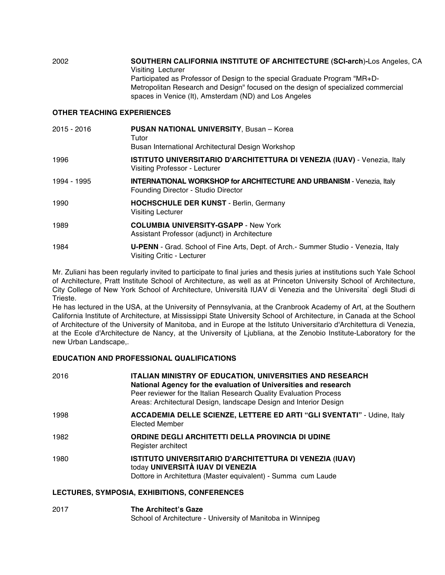2002 **SOUTHERN CALIFORNIA INSTITUTE OF ARCHITECTURE (SCI-arch**)**-**Los Angeles, CA Visiting Lecturer Participated as Professor of Design to the special Graduate Program "MR+D-Metropolitan Research and Design" focused on the design of specialized commercial spaces in Venice (It), Amsterdam (ND) and Los Angeles

#### **OTHER TEACHING EXPERIENCES**

| 2015 - 2016 | <b>PUSAN NATIONAL UNIVERSITY, Busan - Korea</b><br>Tutor<br>Busan International Architectural Design Workshop       |
|-------------|---------------------------------------------------------------------------------------------------------------------|
| 1996        | <b>ISTITUTO UNIVERSITARIO D'ARCHITETTURA DI VENEZIA (IUAV) - Venezia, Italy</b><br>Visiting Professor - Lecturer    |
| 1994 - 1995 | <b>INTERNATIONAL WORKSHOP for ARCHITECTURE AND URBANISM - Venezia, Italy</b><br>Founding Director - Studio Director |
| 1990        | <b>HOCHSCHULE DER KUNST</b> - Berlin, Germany<br><b>Visiting Lecturer</b>                                           |
| 1989        | <b>COLUMBIA UNIVERSITY-GSAPP - New York</b><br>Assistant Professor (adjunct) in Architecture                        |
| 1984        | U-PENN - Grad. School of Fine Arts, Dept. of Arch. - Summer Studio - Venezia, Italy<br>Visiting Critic - Lecturer   |

Mr. Zuliani has been regularly invited to participate to final juries and thesis juries at institutions such Yale School of Architecture, Pratt Institute School of Architecture, as well as at Princeton University School of Architecture, City College of New York School of Architecture, Università IUAV di Venezia and the Universita` degli Studi di Trieste.

He has lectured in the USA, at the University of Pennsylvania, at the Cranbrook Academy of Art, at the Southern California Institute of Architecture, at Mississippi State University School of Architecture, in Canada at the School of Architecture of the University of Manitoba, and in Europe at the Istituto Universitario d'Architettura di Venezia, at the Ecole d'Architecture de Nancy, at the University of Ljubliana, at the Zenobio Institute-Laboratory for the new Urban Landscape,.

### **EDUCATION AND PROFESSIONAL QUALIFICATIONS**

| 2016 | <b>ITALIAN MINISTRY OF EDUCATION, UNIVERSITIES AND RESEARCH</b><br>National Agency for the evaluation of Universities and research<br>Peer reviewer for the Italian Research Quality Evaluation Process<br>Areas: Architectural Design, landscape Design and Interior Design |
|------|------------------------------------------------------------------------------------------------------------------------------------------------------------------------------------------------------------------------------------------------------------------------------|
| 1998 | ACCADEMIA DELLE SCIENZE, LETTERE ED ARTI "GLI SVENTATI" - Udine, Italy<br><b>Elected Member</b>                                                                                                                                                                              |
| 1982 | ORDINE DEGLI ARCHITETTI DELLA PROVINCIA DI UDINE<br>Register architect                                                                                                                                                                                                       |
| 1980 | ISTITUTO UNIVERSITARIO D'ARCHITETTURA DI VENEZIA (IUAV)<br>today UNIVERSITÀ IUAV DI VENEZIA<br>Dottore in Architettura (Master equivalent) - Summa cum Laude                                                                                                                 |

#### **LECTURES, SYMPOSIA, EXHIBITIONS, CONFERENCES**

2017 **The Architect's Gaze** School of Architecture - University of Manitoba in Winnipeg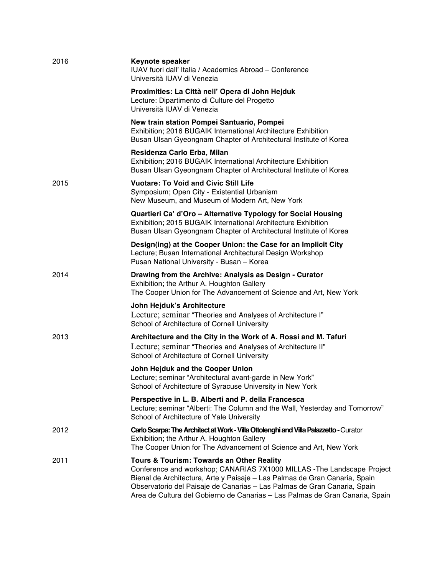| 2016 | <b>Keynote speaker</b><br>IUAV fuori dall' Italia / Academics Abroad - Conference<br>Università IUAV di Venezia                                                                                                                                                                                                                                                |
|------|----------------------------------------------------------------------------------------------------------------------------------------------------------------------------------------------------------------------------------------------------------------------------------------------------------------------------------------------------------------|
|      | Proximities: La Città nell' Opera di John Hejduk<br>Lecture: Dipartimento di Culture del Progetto<br>Università IUAV di Venezia                                                                                                                                                                                                                                |
|      | New train station Pompei Santuario, Pompei<br>Exhibition; 2016 BUGAIK International Architecture Exhibition<br>Busan Ulsan Gyeongnam Chapter of Architectural Institute of Korea                                                                                                                                                                               |
|      | Residenza Carlo Erba, Milan<br>Exhibition; 2016 BUGAIK International Architecture Exhibition<br>Busan Ulsan Gyeongnam Chapter of Architectural Institute of Korea                                                                                                                                                                                              |
| 2015 | <b>Vuotare: To Void and Civic Still Life</b><br>Symposium; Open City - Existential Urbanism<br>New Museum, and Museum of Modern Art, New York                                                                                                                                                                                                                  |
|      | Quartieri Ca' d'Oro - Alternative Typology for Social Housing<br>Exhibition; 2015 BUGAIK International Architecture Exhibition<br>Busan Ulsan Gyeongnam Chapter of Architectural Institute of Korea                                                                                                                                                            |
|      | Design(ing) at the Cooper Union: the Case for an Implicit City<br>Lecture; Busan International Architectural Design Workshop<br>Pusan National University - Busan - Korea                                                                                                                                                                                      |
| 2014 | Drawing from the Archive: Analysis as Design - Curator<br>Exhibition; the Arthur A. Houghton Gallery<br>The Cooper Union for The Advancement of Science and Art, New York                                                                                                                                                                                      |
|      | John Hejduk's Architecture<br>Lecture; seminar "Theories and Analyses of Architecture I"<br>School of Architecture of Cornell University                                                                                                                                                                                                                       |
| 2013 | Architecture and the City in the Work of A. Rossi and M. Tafuri<br>Lecture; seminar "Theories and Analyses of Architecture II"<br>School of Architecture of Cornell University                                                                                                                                                                                 |
|      | John Hejduk and the Cooper Union<br>Lecture; seminar "Architectural avant-garde in New York"<br>School of Architecture of Syracuse University in New York                                                                                                                                                                                                      |
|      | Perspective in L. B. Alberti and P. della Francesca<br>Lecture; seminar "Alberti: The Column and the Wall, Yesterday and Tomorrow"<br>School of Architecture of Yale University                                                                                                                                                                                |
| 2012 | Carlo Scarpa: The Architect at Work - Villa Ottolenghi and Villa Palazzetto - Curator<br>Exhibition; the Arthur A. Houghton Gallery<br>The Cooper Union for The Advancement of Science and Art, New York                                                                                                                                                       |
| 2011 | Tours & Tourism: Towards an Other Reality<br>Conference and workshop; CANARIAS 7X1000 MILLAS - The Landscape Project<br>Bienal de Architectura, Arte y Paisaje - Las Palmas de Gran Canaria, Spain<br>Observatorio del Paisaje de Canarias - Las Palmas de Gran Canaria, Spain<br>Area de Cultura del Gobierno de Canarias - Las Palmas de Gran Canaria, Spain |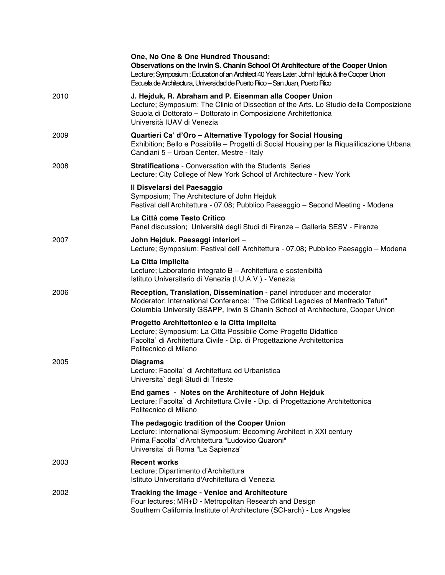|      | One, No One & One Hundred Thousand:<br>Observations on the Irwin S. Chanin School Of Architecture of the Cooper Union<br>Lecture; Symposium : Education of an Architect 40 Years Later: John Hejduk & the Cooper Union<br>Escuela de Architectura, Universidad de Puerto Rico - San Juan, Puerto Rico |
|------|-------------------------------------------------------------------------------------------------------------------------------------------------------------------------------------------------------------------------------------------------------------------------------------------------------|
| 2010 | J. Hejduk, R. Abraham and P. Eisenman alla Cooper Union<br>Lecture; Symposium: The Clinic of Dissection of the Arts. Lo Studio della Composizione<br>Scuola di Dottorato - Dottorato in Composizione Architettonica<br>Università IUAV di Venezia                                                     |
| 2009 | Quartieri Ca' d'Oro - Alternative Typology for Social Housing<br>Exhibition; Bello e Possiblile - Progetti di Social Housing per la Riqualificazione Urbana<br>Candiani 5 - Urban Center, Mestre - Italy                                                                                              |
| 2008 | <b>Stratifications</b> - Conversation with the Students Series<br>Lecture; City College of New York School of Architecture - New York                                                                                                                                                                 |
|      | Il Disvelarsi del Paesaggio<br>Symposium; The Architecture of John Hejduk<br>Festival dell'Architettura - 07.08; Pubblico Paesaggio - Second Meeting - Modena                                                                                                                                         |
|      | La Città come Testo Critico<br>Panel discussion; Università degli Studi di Firenze - Galleria SESV - Firenze                                                                                                                                                                                          |
| 2007 | John Hejduk. Paesaggi interiori -<br>Lecture; Symposium: Festival dell' Architettura - 07.08; Pubblico Paesaggio - Modena                                                                                                                                                                             |
|      | La Citta Implicita<br>Lecture; Laboratorio integrato B - Architettura e sostenibiltà<br>Istituto Universitario di Venezia (I.U.A.V.) - Venezia                                                                                                                                                        |
| 2006 | Reception, Translation, Dissemination - panel introducer and moderator<br>Moderator; International Conference: "The Critical Legacies of Manfredo Tafuri"<br>Columbia University GSAPP, Irwin S Chanin School of Architecture, Cooper Union                                                           |
|      | Progetto Architettonico e la Citta Implicita<br>Lecture; Symposium: La Citta Possibile Come Progetto Didattico<br>Facolta` di Architettura Civile - Dip. di Progettazione Architettonica<br>Politecnico di Milano                                                                                     |
| 2005 | <b>Diagrams</b><br>Lecture: Facolta` di Architettura ed Urbanistica<br>Universita` degli Studi di Trieste                                                                                                                                                                                             |
|      | End games - Notes on the Architecture of John Hejduk<br>Lecture; Facolta` di Architettura Civile - Dip. di Progettazione Architettonica<br>Politecnico di Milano                                                                                                                                      |
|      | The pedagogic tradition of the Cooper Union<br>Lecture: International Symposium: Becoming Architect in XXI century<br>Prima Facolta` d'Architettura "Ludovico Quaroni"<br>Universita` di Roma "La Sapienza"                                                                                           |
| 2003 | <b>Recent works</b><br>Lecture; Dipartimento d'Architettura<br>Istituto Universitario d'Architettura di Venezia                                                                                                                                                                                       |
| 2002 | <b>Tracking the Image - Venice and Architecture</b><br>Four lectures; MR+D - Metropolitan Research and Design<br>Southern California Institute of Architecture (SCI-arch) - Los Angeles                                                                                                               |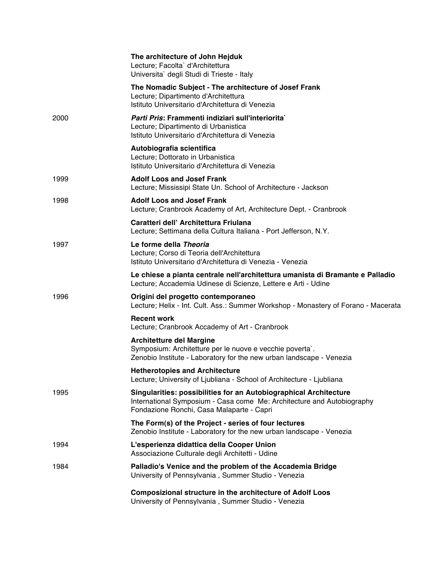|      | The architecture of John Hejduk<br>Lecture; Facolta` d'Architettura<br>Universita` degli Studi di Trieste - Italy                                                                               |
|------|-------------------------------------------------------------------------------------------------------------------------------------------------------------------------------------------------|
|      | The Nomadic Subject - The architecture of Josef Frank<br>Lecture; Dipartimento d'Architettura<br>Istituto Universitario d'Architettura di Venezia                                               |
| 2000 | Parti Pris: Frammenti indiziari sull'interiorita`<br>Lecture; Dipartimento di Urbanistica<br>Istituto Universitario d'Architettura di Venezia                                                   |
|      | Autobiografia scientifica<br>Lecture; Dottorato in Urbanistica<br>Istituto Universitario d'Architettura di Venezia                                                                              |
| 1999 | <b>Adolf Loos and Josef Frank</b><br>Lecture; Mississipi State Un. School of Architecture - Jackson                                                                                             |
| 1998 | <b>Adolf Loos and Josef Frank</b><br>Lecture; Cranbrook Academy of Art, Architecture Dept. - Cranbrook                                                                                          |
|      | Caratteri dell' Architettura Friulana<br>Lecture; Settimana della Cultura Italiana - Port Jefferson, N.Y.                                                                                       |
| 1997 | Le forme della Theoria<br>Lecture; Corso di Teoria dell'Architettura<br>Istituto Universitario d'Architettura di Venezia - Venezia                                                              |
|      | Le chiese a pianta centrale nell'architettura umanista di Bramante e Palladio<br>Lecture; Accademia Udinese di Scienze, Lettere e Arti - Udine                                                  |
| 1996 | Origini del progetto contemporaneo<br>Lecture; Helix - Int. Cult. Ass.: Summer Workshop - Monastery of Forano - Macerata                                                                        |
|      | <b>Recent work</b><br>Lecture; Cranbrook Accademy of Art - Cranbrook                                                                                                                            |
|      | <b>Architetture del Margine</b><br>Symposium: Architetture per le nuove e vecchie poverta`.<br>Zenobio Institute - Laboratory for the new urban landscape - Venezia                             |
|      | <b>Hetherotopies and Architecture</b><br>Lecture; University of Ljubliana - School of Architecture - Ljubliana                                                                                  |
| 1995 | <b>Singularities: possibilities for an Autobiographical Architecture</b><br>International Symposium - Casa come Me: Architecture and Autobiography<br>Fondazione Ronchi, Casa Malaparte - Capri |
|      | The Form(s) of the Project - series of four lectures<br>Zenobio Institute - Laboratory for the new urban landscape - Venezia                                                                    |
| 1994 | L'esperienza didattica della Cooper Union<br>Associazione Culturale degli Architetti - Udine                                                                                                    |
| 1984 | Palladio's Venice and the problem of the Accademia Bridge<br>University of Pennsylvania, Summer Studio - Venezia                                                                                |
|      | <b>Composizional structure in the architecture of Adolf Loos</b><br>University of Pennsylvania, Summer Studio - Venezia                                                                         |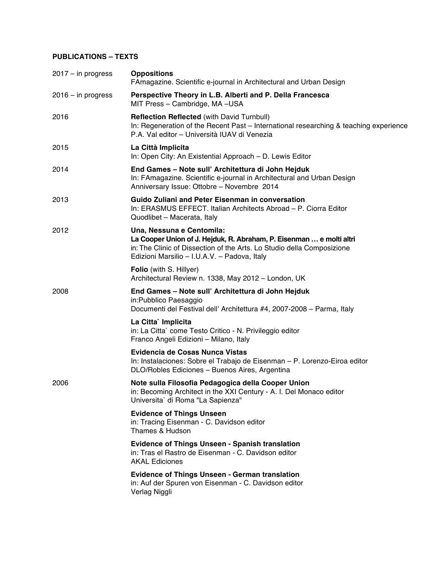# **PUBLICATIONS – TEXTS**

| $2017 - in progress$ | <b>Oppositions</b><br>FAmagazine. Scientific e-journal in Architectural and Urban Design                                                                                                                                    |
|----------------------|-----------------------------------------------------------------------------------------------------------------------------------------------------------------------------------------------------------------------------|
| $2016 - in progress$ | Perspective Theory in L.B. Alberti and P. Della Francesca<br>MIT Press - Cambridge, MA -USA                                                                                                                                 |
| 2016                 | <b>Reflection Reflected (with David Turnbull)</b><br>In: Regeneration of the Recent Past – International researching & teaching experience<br>P.A. Val editor - Università IUAV di Venezia                                  |
| 2015                 | La Città Implicita<br>In: Open City: An Existential Approach - D. Lewis Editor                                                                                                                                              |
| 2014                 | End Games - Note sull' Architettura di John Hejduk<br>In: FAmagazine. Scientific e-journal in Architectural and Urban Design<br>Anniversary Issue: Ottobre - Novembre 2014                                                  |
| 2013                 | Guido Zuliani and Peter Eisenman in conversation<br>In: ERASMUS EFFECT. Italian Architects Abroad - P. Ciorra Editor<br>Quodlibet - Macerata, Italy                                                                         |
| 2012                 | Una, Nessuna e Centomila:<br>La Cooper Union of J. Hejduk, R. Abraham, P. Eisenman  e molti altri<br>in: The Clinic of Dissection of the Arts. Lo Studio della Composizione<br>Edizioni Marsilio - I.U.A.V. - Padova, Italy |
|                      | Folio (with S. Hillyer)<br>Architectural Review n. 1338, May 2012 - London, UK                                                                                                                                              |
| 2008                 | End Games - Note sull' Architettura di John Hejduk<br>in:Pubblico Paesaggio<br>Documenti del Festival dell' Architettura #4, 2007-2008 - Parma, Italy                                                                       |
|                      | La Citta` Implicita<br>in: La Citta` come Testo Critico - N. Privileggio editor<br>Franco Angeli Edizioni - Milano, Italy                                                                                                   |
|                      | Evidencia de Cosas Nunca Vistas<br>In: Instalaciones: Sobre el Trabajo de Eisenman - P. Lorenzo-Eiroa editor<br>DLO/Robles Ediciones - Buenos Aires, Argentina                                                              |
| 2006                 | Note sulla Filosofia Pedagogica della Cooper Union<br>in: Becoming Architect in the XXI Century - A. I. Del Monaco editor<br>Universita` di Roma "La Sapienza"                                                              |
|                      | <b>Evidence of Things Unseen</b><br>in: Tracing Eisenman - C. Davidson editor<br>Thames & Hudson                                                                                                                            |
|                      | <b>Evidence of Things Unseen - Spanish translation</b><br>in: Tras el Rastro de Eisenman - C. Davidson editor<br><b>AKAL Ediciones</b>                                                                                      |
|                      | <b>Evidence of Things Unseen - German translation</b><br>in: Auf der Spuren von Eisenman - C. Davidson editor<br>Verlag Niggli                                                                                              |
|                      |                                                                                                                                                                                                                             |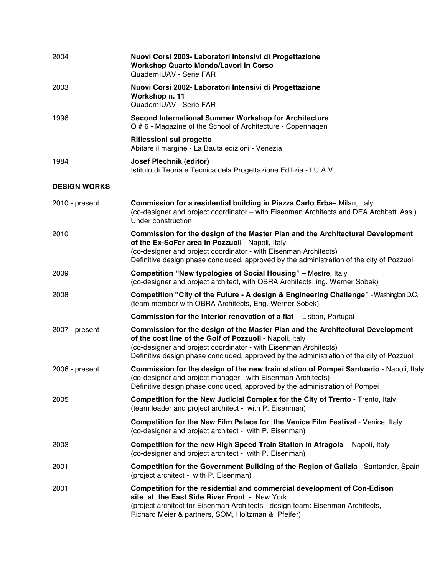| 2004                | Nuovi Corsi 2003- Laboratori Intensivi di Progettazione<br><b>Workshop Quarto Mondo/Lavori in Corso</b><br>QuadernIUAV - Serie FAR                                                                                                                                                                          |
|---------------------|-------------------------------------------------------------------------------------------------------------------------------------------------------------------------------------------------------------------------------------------------------------------------------------------------------------|
| 2003                | Nuovi Corsi 2002- Laboratori Intensivi di Progettazione<br>Workshop n. 11<br>QuadernIUAV - Serie FAR                                                                                                                                                                                                        |
| 1996                | Second International Summer Workshop for Architecture<br>O # 6 - Magazine of the School of Architecture - Copenhagen                                                                                                                                                                                        |
|                     | <b>Riflessioni sul progetto</b><br>Abitare il margine - La Bauta edizioni - Venezia                                                                                                                                                                                                                         |
| 1984                | <b>Josef Plechnik (editor)</b><br>Istituto di Teoria e Tecnica dela Progettazione Edilizia - I.U.A.V.                                                                                                                                                                                                       |
| <b>DESIGN WORKS</b> |                                                                                                                                                                                                                                                                                                             |
| 2010 - present      | Commission for a residential building in Piazza Carlo Erba-Milan, Italy<br>(co-designer and project coordinator - with Eisenman Architects and DEA Architetti Ass.)<br>Under construction                                                                                                                   |
| 2010                | Commission for the design of the Master Plan and the Architectural Development<br>of the Ex-SoFer area in Pozzuoli - Napoli, Italy<br>(co-designer and project coordinator - with Eisenman Architects)<br>Definitive design phase concluded, approved by the administration of the city of Pozzuoli         |
| 2009                | <b>Competition "New typologies of Social Housing"</b> – Mestre, Italy<br>(co-designer and project architect, with OBRA Architects, ing. Werner Sobek)                                                                                                                                                       |
| 2008                | Competition "City of the Future - A design & Engineering Challenge" - Washington D.C.<br>(team member with OBRA Architects, Eng. Werner Sobek)                                                                                                                                                              |
|                     | <b>Commission for the interior renovation of a flat - Lisbon, Portugal</b>                                                                                                                                                                                                                                  |
| 2007 - present      | Commission for the design of the Master Plan and the Architectural Development<br>of the cost line of the Golf of Pozzuoli - Napoli, Italy<br>(co-designer and project coordinator - with Eisenman Architects)<br>Definitive design phase concluded, approved by the administration of the city of Pozzuoli |
| 2006 - present      | Commission for the design of the new train station of Pompei Santuario - Napoli, Italy<br>(co-designer and project manager - with Eisenman Architects)<br>Definitive design phase concluded, approved by the administration of Pompei                                                                       |
| 2005                | Competition for the New Judicial Complex for the City of Trento - Trento, Italy<br>(team leader and project architect - with P. Eisenman)                                                                                                                                                                   |
|                     | Competition for the New Film Palace for the Venice Film Festival - Venice, Italy<br>(co-designer and project architect - with P. Eisenman)                                                                                                                                                                  |
| 2003                | Competition for the new High Speed Train Station in Afragola - Napoli, Italy<br>(co-designer and project architect - with P. Eisenman)                                                                                                                                                                      |
| 2001                | Competition for the Government Building of the Region of Galizia - Santander, Spain<br>(project architect - with P. Eisenman)                                                                                                                                                                               |
| 2001                | Competition for the residential and commercial development of Con-Edison<br>site at the East Side River Front - New York<br>(project architect for Eisenman Architects - design team: Eisenman Architects,<br>Richard Meier & partners, SOM, Holtzman & Pfeifer)                                            |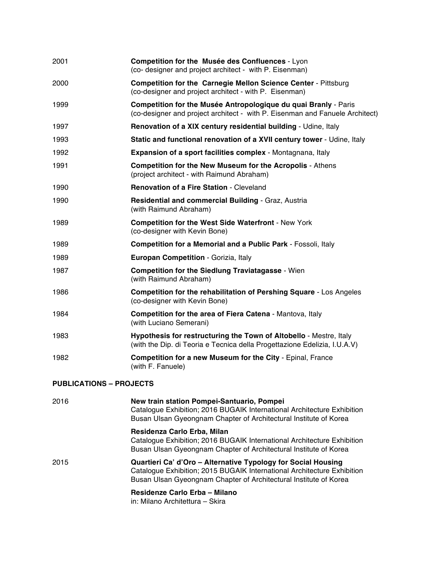| 2001                           | Competition for the Musée des Confluences - Lyon<br>(co- designer and project architect - with P. Eisenman)                                                                                                   |
|--------------------------------|---------------------------------------------------------------------------------------------------------------------------------------------------------------------------------------------------------------|
| 2000                           | <b>Competition for the Carnegie Mellon Science Center - Pittsburg</b><br>(co-designer and project architect - with P. Eisenman)                                                                               |
| 1999                           | Competition for the Musée Antropologique du quai Branly - Paris<br>(co-designer and project architect - with P. Eisenman and Fanuele Architect)                                                               |
| 1997                           | Renovation of a XIX century residential building - Udine, Italy                                                                                                                                               |
| 1993                           | Static and functional renovation of a XVII century tower - Udine, Italy                                                                                                                                       |
| 1992                           | Expansion of a sport facilities complex - Montagnana, Italy                                                                                                                                                   |
| 1991                           | <b>Competition for the New Museum for the Acropolis - Athens</b><br>(project architect - with Raimund Abraham)                                                                                                |
| 1990                           | <b>Renovation of a Fire Station - Cleveland</b>                                                                                                                                                               |
| 1990                           | Residential and commercial Building - Graz, Austria<br>(with Raimund Abraham)                                                                                                                                 |
| 1989                           | <b>Competition for the West Side Waterfront - New York</b><br>(co-designer with Kevin Bone)                                                                                                                   |
| 1989                           | <b>Competition for a Memorial and a Public Park - Fossoli, Italy</b>                                                                                                                                          |
| 1989                           | Europan Competition - Gorizia, Italy                                                                                                                                                                          |
| 1987                           | <b>Competition for the Siedlung Traviatagasse - Wien</b><br>(with Raimund Abraham)                                                                                                                            |
| 1986                           | <b>Competition for the rehabilitation of Pershing Square - Los Angeles</b><br>(co-designer with Kevin Bone)                                                                                                   |
| 1984                           | <b>Competition for the area of Fiera Catena - Mantova, Italy</b><br>(with Luciano Semerani)                                                                                                                   |
| 1983                           | Hypothesis for restructuring the Town of Altobello - Mestre, Italy<br>(with the Dip. di Teoria e Tecnica della Progettazione Edelizia, I.U.A.V)                                                               |
| 1982                           | <b>Competition for a new Museum for the City - Epinal, France</b><br>(with F. Fanuele)                                                                                                                        |
| <b>PUBLICATIONS - PROJECTS</b> |                                                                                                                                                                                                               |
| 2016                           | New train station Pompei-Santuario, Pompei<br>Catalogue Exhibition; 2016 BUGAIK International Architecture Exhibition<br>Busan Ulsan Gyeongnam Chapter of Architectural Institute of Korea                    |
|                                | Residenza Carlo Erba, Milan<br>Catalogue Exhibition; 2016 BUGAIK International Architecture Exhibition<br>Busan Ulsan Gyeongnam Chapter of Architectural Institute of Korea                                   |
| 2015                           | Quartieri Ca' d'Oro - Alternative Typology for Social Housing<br>Catalogue Exhibition; 2015 BUGAIK International Architecture Exhibition<br>Busan Ulsan Gyeongnam Chapter of Architectural Institute of Korea |

**Residenze Carlo Erba – Milano**

in: Milano Architettura – Skira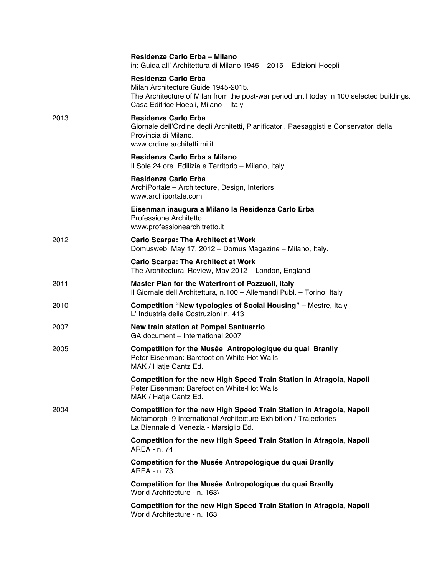|      | Residenze Carlo Erba - Milano<br>in: Guida all' Architettura di Milano 1945 - 2015 - Edizioni Hoepli                                                                                                    |
|------|---------------------------------------------------------------------------------------------------------------------------------------------------------------------------------------------------------|
|      | <b>Residenza Carlo Erba</b><br>Milan Architecture Guide 1945-2015.<br>The Architecture of Milan from the post-war period until today in 100 selected buildings.<br>Casa Editrice Hoepli, Milano - Italy |
| 2013 | <b>Residenza Carlo Erba</b><br>Giornale dell'Ordine degli Architetti, Pianificatori, Paesaggisti e Conservatori della<br>Provincia di Milano.<br>www.ordine architetti.mi.it                            |
|      | Residenza Carlo Erba a Milano<br>Il Sole 24 ore. Edilizia e Territorio - Milano, Italy                                                                                                                  |
|      | Residenza Carlo Erba<br>ArchiPortale - Architecture, Design, Interiors<br>www.archiportale.com                                                                                                          |
|      | Eisenman inaugura a Milano la Residenza Carlo Erba<br>Professione Architetto<br>www.professionearchitretto.it                                                                                           |
| 2012 | <b>Carlo Scarpa: The Architect at Work</b><br>Domusweb, May 17, 2012 - Domus Magazine - Milano, Italy.                                                                                                  |
|      | <b>Carlo Scarpa: The Architect at Work</b><br>The Architectural Review, May 2012 - London, England                                                                                                      |
| 2011 | Master Plan for the Waterfront of Pozzuoli, Italy<br>Il Giornale dell'Architettura, n.100 - Allemandi Publ. - Torino, Italy                                                                             |
| 2010 | <b>Competition "New typologies of Social Housing" - Mestre, Italy</b><br>L' Industria delle Costruzioni n. 413                                                                                          |
| 2007 | New train station at Pompei Santuarrio<br>GA document - International 2007                                                                                                                              |
| 2005 | Competition for the Musée Antropologique du quai Branlly<br>Peter Eisenman: Barefoot on White-Hot Walls<br>MAK / Hatje Cantz Ed.                                                                        |
|      | Competition for the new High Speed Train Station in Afragola, Napoli<br>Peter Eisenman: Barefoot on White-Hot Walls<br>MAK / Hatje Cantz Ed.                                                            |
| 2004 | Competition for the new High Speed Train Station in Afragola, Napoli<br>Metamorph- 9 International Architecture Exhibition / Trajectories<br>La Biennale di Venezia - Marsiglio Ed.                     |
|      | Competition for the new High Speed Train Station in Afragola, Napoli<br>AREA - n. 74                                                                                                                    |
|      | Competition for the Musée Antropologique du quai Branlly<br>AREA - n. 73                                                                                                                                |
|      | Competition for the Musée Antropologique du quai Branlly<br>World Architecture - n. 163\                                                                                                                |
|      | Competition for the new High Speed Train Station in Afragola, Napoli<br>World Architecture - n. 163                                                                                                     |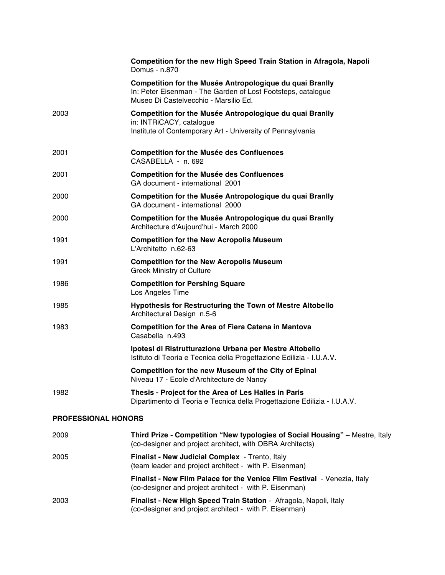|                            | Competition for the new High Speed Train Station in Afragola, Napoli<br>Domus - n.870                                                                             |
|----------------------------|-------------------------------------------------------------------------------------------------------------------------------------------------------------------|
|                            | Competition for the Musée Antropologique du quai Branlly<br>In: Peter Eisenman - The Garden of Lost Footsteps, catalogue<br>Museo Di Castelvecchio - Marsilio Ed. |
| 2003                       | Competition for the Musée Antropologique du quai Branlly<br>in: INTRiCACY, catalogue<br>Institute of Contemporary Art - University of Pennsylvania                |
| 2001                       | <b>Competition for the Musée des Confluences</b><br>CASABELLA - n. 692                                                                                            |
| 2001                       | <b>Competition for the Musée des Confluences</b><br>GA document - international 2001                                                                              |
| 2000                       | Competition for the Musée Antropologique du quai Branlly<br>GA document - international 2000                                                                      |
| 2000                       | Competition for the Musée Antropologique du quai Branlly<br>Architecture d'Aujourd'hui - March 2000                                                               |
| 1991                       | <b>Competition for the New Acropolis Museum</b><br>L'Architetto n.62-63                                                                                           |
| 1991                       | <b>Competition for the New Acropolis Museum</b><br><b>Greek Ministry of Culture</b>                                                                               |
| 1986                       | <b>Competition for Pershing Square</b><br>Los Angeles Time                                                                                                        |
| 1985                       | <b>Hypothesis for Restructuring the Town of Mestre Altobello</b><br>Architectural Design n.5-6                                                                    |
| 1983                       | <b>Competition for the Area of Fiera Catena in Mantova</b><br>Casabella n.493                                                                                     |
|                            | Ipotesi di Ristrutturazione Urbana per Mestre Altobello<br>Istituto di Teoria e Tecnica della Progettazione Edilizia - I.U.A.V.                                   |
|                            | Competition for the new Museum of the City of Epinal<br>Niveau 17 - Ecole d'Architecture de Nancy                                                                 |
| 1982                       | Thesis - Project for the Area of Les Halles in Paris<br>Dipartimento di Teoria e Tecnica della Progettazione Edilizia - I.U.A.V.                                  |
| <b>PROFESSIONAL HONORS</b> |                                                                                                                                                                   |
| 2009                       | Third Prize - Competition "New typologies of Social Housing" - Mestre, Italy<br>(co-designer and project architect, with OBRA Architects)                         |
| 2005                       | Finalist - New Judicial Complex - Trento, Italy<br>(team leader and project architect - with P. Eisenman)                                                         |
|                            | Finalist - New Film Palace for the Venice Film Festival - Venezia, Italy<br>(co-designer and project architect - with P. Eisenman)                                |
| 2003                       | Finalist - New High Speed Train Station - Afragola, Napoli, Italy<br>(co-designer and project architect - with P. Eisenman)                                       |
|                            |                                                                                                                                                                   |